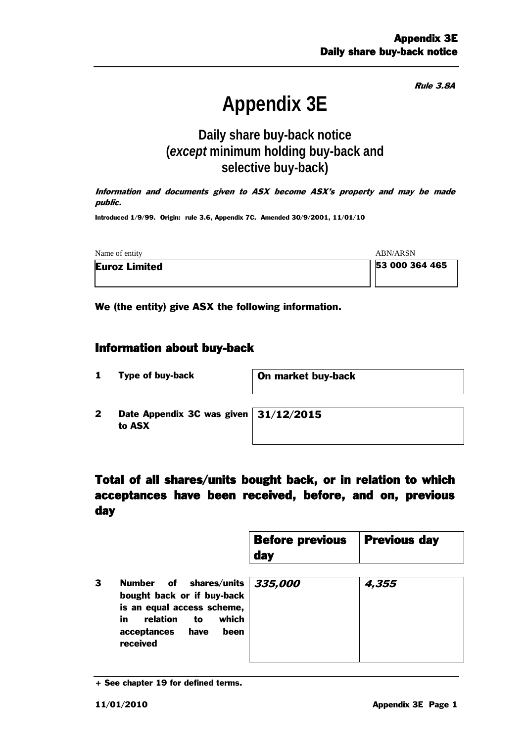Rule 3.8A

# **Appendix 3E**

# **Daily share buy-back notice (***except* **minimum holding buy-back and selective buy-back)**

Information and documents given to ASX become ASX's property and may be made public.

Introduced 1/9/99. Origin: rule 3.6, Appendix 7C. Amended 30/9/2001, 11/01/10

| Name of entity       | ABN/ARSN       |
|----------------------|----------------|
| <b>Euroz Limited</b> | 53 000 364 465 |
|                      |                |

We (the entity) give ASX the following information.

#### Information about buy-back

1 Type of buy-back **On market buy-back** 

2 Date Appendix 3C was given to ASX

31/12/2015

### Total of all shares/units bought back, or in relation to which acceptances have been received, before, and on, previous day

| <b>Before previous</b> | <b>Previous day</b> |
|------------------------|---------------------|
| day                    |                     |

3 Number of shares/units bought back or if buy-back is an equal access scheme, in relation to which acceptances have been received 335,000 4,355

<sup>+</sup> See chapter 19 for defined terms.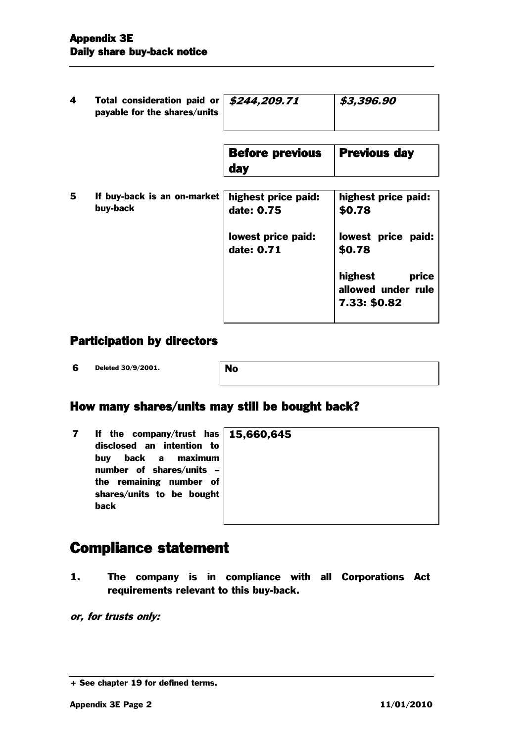| 4 | Total consideration paid or   \$244,209.71<br>payable for the shares/units |                                   | \$3,396.90                                             |
|---|----------------------------------------------------------------------------|-----------------------------------|--------------------------------------------------------|
|   |                                                                            | <b>Before previous</b><br>day     | <b>Previous day</b>                                    |
| 5 | If buy-back is an on-market<br>buy-back                                    | highest price paid:<br>date: 0.75 | highest price paid:<br>\$0.78                          |
|   |                                                                            | lowest price paid:<br>date: 0.71  | lowest price paid:<br>\$0.78                           |
|   |                                                                            |                                   | highest<br>price<br>allowed under rule<br>7.33: \$0.82 |

#### Participation by directors

**6** Deleted 30/9/2001.

# How many shares/units may still be bought back?

| If the company/trust has $15,66$ |  |
|----------------------------------|--|
| disclosed an intention to        |  |
| buy back a maximum               |  |
| number of shares/units -         |  |
| the remaining number of          |  |
| shares/units to be bought        |  |
| back                             |  |

#### 0,645

# Compliance statement

1. The company is in compliance with all Corporations Act requirements relevant to this buy-back.

or, for trusts only:

<sup>+</sup> See chapter 19 for defined terms.